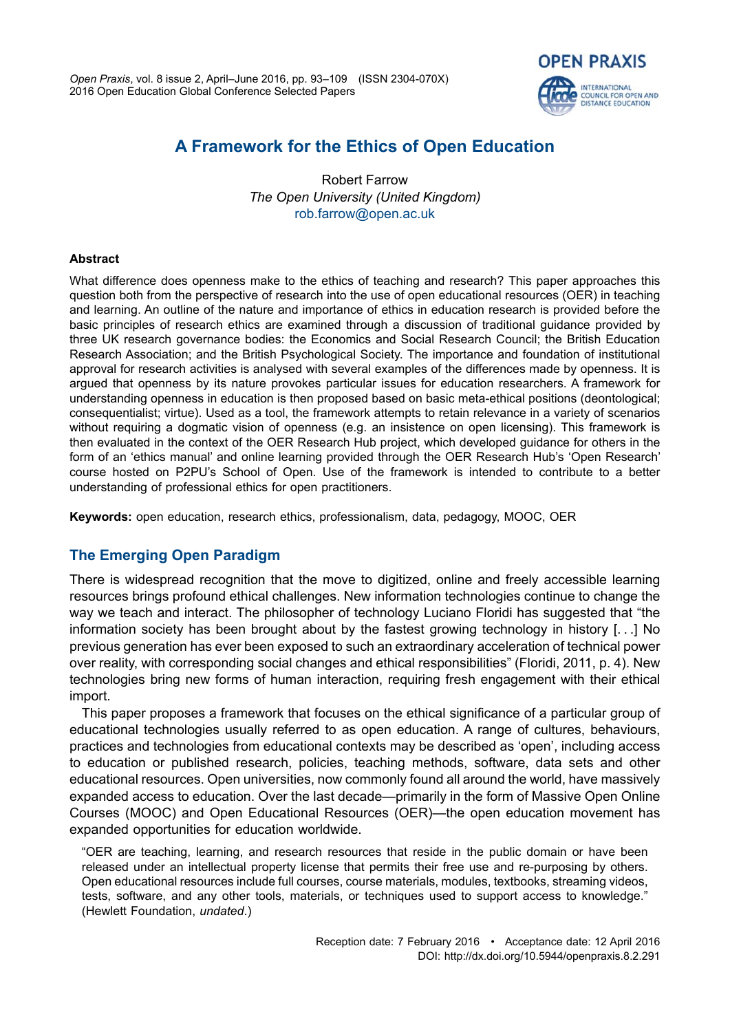

# **A Framework for the Ethics of Open Education**

Robert Farrow *The Open University (United Kingdom)* [rob.farrow@open.ac.uk](mailto:rob.farrow@open.ac.uk)

### **Abstract**

What difference does openness make to the ethics of teaching and research? This paper approaches this question both from the perspective of research into the use of open educational resources (OER) in teaching and learning. An outline of the nature and importance of ethics in education research is provided before the basic principles of research ethics are examined through a discussion of traditional guidance provided by three UK research governance bodies: the Economics and Social Research Council; the British Education Research Association; and the British Psychological Society. The importance and foundation of institutional approval for research activities is analysed with several examples of the differences made by openness. It is argued that openness by its nature provokes particular issues for education researchers. A framework for understanding openness in education is then proposed based on basic meta-ethical positions (deontological; consequentialist; virtue). Used as a tool, the framework attempts to retain relevance in a variety of scenarios without requiring a dogmatic vision of openness (e.g. an insistence on open licensing). This framework is then evaluated in the context of the OER Research Hub project, which developed guidance for others in the form of an 'ethics manual' and online learning provided through the OER Research Hub's 'Open Research' course hosted on P2PU's School of Open. Use of the framework is intended to contribute to a better understanding of professional ethics for open practitioners.

**Keywords:** open education, research ethics, professionalism, data, pedagogy, MOOC, OER

## **The Emerging Open Paradigm**

There is widespread recognition that the move to digitized, online and freely accessible learning resources brings profound ethical challenges. New information technologies continue to change the way we teach and interact. The philosopher of technology Luciano Floridi has suggested that "the information society has been brought about by the fastest growing technology in history [. . .] No previous generation has ever been exposed to such an extraordinary acceleration of technical power over reality, with corresponding social changes and ethical responsibilities" (Floridi, 2011, p. 4). New technologies bring new forms of human interaction, requiring fresh engagement with their ethical import.

This paper proposes a framework that focuses on the ethical significance of a particular group of educational technologies usually referred to as open education. A range of cultures, behaviours, practices and technologies from educational contexts may be described as 'open', including access to education or published research, policies, teaching methods, software, data sets and other educational resources. Open universities, now commonly found all around the world, have massively expanded access to education. Over the last decade—primarily in the form of Massive Open Online Courses (MOOC) and Open Educational Resources (OER)—the open education movement has expanded opportunities for education worldwide.

"OER are teaching, learning, and research resources that reside in the public domain or have been released under an intellectual property license that permits their free use and re-purposing by others. Open educational resources include full courses, course materials, modules, textbooks, streaming videos, tests, software, and any other tools, materials, or techniques used to support access to knowledge." (Hewlett Foundation, *undated*.)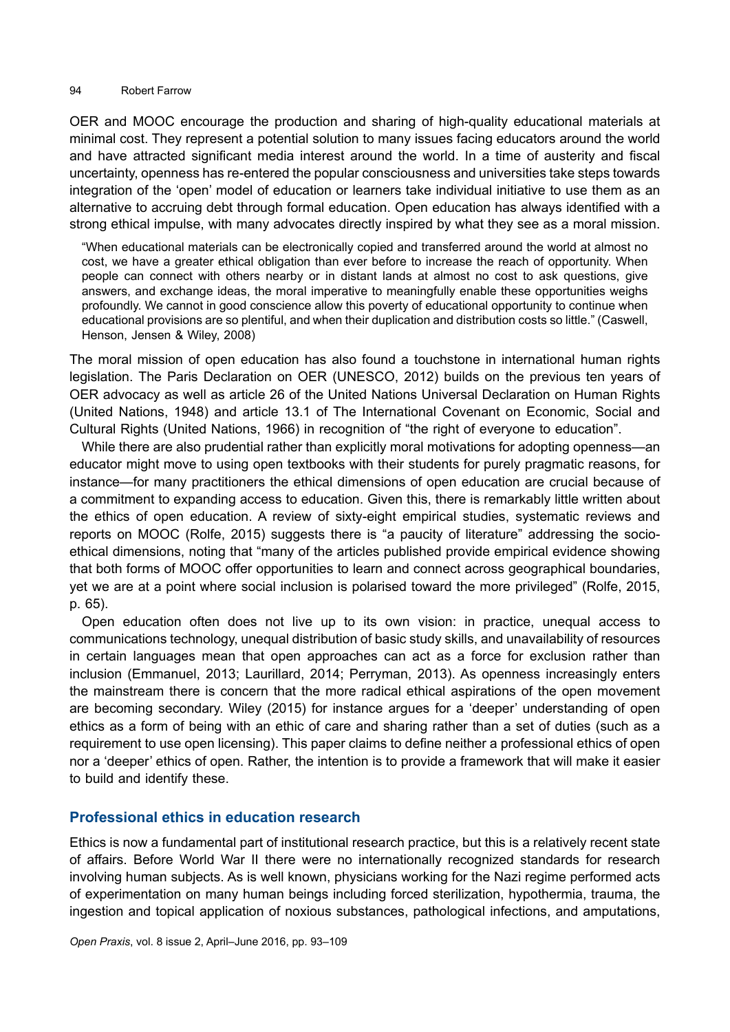OER and MOOC encourage the production and sharing of high-quality educational materials at minimal cost. They represent a potential solution to many issues facing educators around the world and have attracted significant media interest around the world. In a time of austerity and fiscal uncertainty, openness has re-entered the popular consciousness and universities take steps towards integration of the 'open' model of education or learners take individual initiative to use them as an alternative to accruing debt through formal education. Open education has always identified with a strong ethical impulse, with many advocates directly inspired by what they see as a moral mission.

"When educational materials can be electronically copied and transferred around the world at almost no cost, we have a greater ethical obligation than ever before to increase the reach of opportunity. When people can connect with others nearby or in distant lands at almost no cost to ask questions, give answers, and exchange ideas, the moral imperative to meaningfully enable these opportunities weighs profoundly. We cannot in good conscience allow this poverty of educational opportunity to continue when educational provisions are so plentiful, and when their duplication and distribution costs so little." (Caswell, Henson, Jensen & Wiley, 2008)

The moral mission of open education has also found a touchstone in international human rights legislation. The Paris Declaration on OER (UNESCO, 2012) builds on the previous ten years of OER advocacy as well as article 26 of the United Nations Universal Declaration on Human Rights (United Nations, 1948) and article 13.1 of The International Covenant on Economic, Social and Cultural Rights (United Nations, 1966) in recognition of "the right of everyone to education".

While there are also prudential rather than explicitly moral motivations for adopting openness—an educator might move to using open textbooks with their students for purely pragmatic reasons, for instance—for many practitioners the ethical dimensions of open education are crucial because of a commitment to expanding access to education. Given this, there is remarkably little written about the ethics of open education. A review of sixty-eight empirical studies, systematic reviews and reports on MOOC (Rolfe, 2015) suggests there is "a paucity of literature" addressing the socioethical dimensions, noting that "many of the articles published provide empirical evidence showing that both forms of MOOC offer opportunities to learn and connect across geographical boundaries, yet we are at a point where social inclusion is polarised toward the more privileged" (Rolfe, 2015, p. 65).

Open education often does not live up to its own vision: in practice, unequal access to communications technology, unequal distribution of basic study skills, and unavailability of resources in certain languages mean that open approaches can act as a force for exclusion rather than inclusion (Emmanuel, 2013; Laurillard, 2014; Perryman, 2013). As openness increasingly enters the mainstream there is concern that the more radical ethical aspirations of the open movement are becoming secondary. [Wiley \(2015\)](http://opencontent.org/blog/archives/3732) for instance argues for a 'deeper' understanding of open ethics as a form of being with an ethic of care and sharing rather than a set of duties (such as a requirement to use open licensing). This paper claims to define neither a professional ethics of open nor a 'deeper' ethics of open. Rather, the intention is to provide a framework that will make it easier to build and identify these.

### **Professional ethics in education research**

Ethics is now a fundamental part of institutional research practice, but this is a relatively recent state of affairs. Before World War II there were no internationally recognized standards for research involving human subjects. As is well known, physicians working for the Nazi regime performed acts of experimentation on many human beings including forced sterilization, hypothermia, trauma, the ingestion and topical application of noxious substances, pathological infections, and amputations,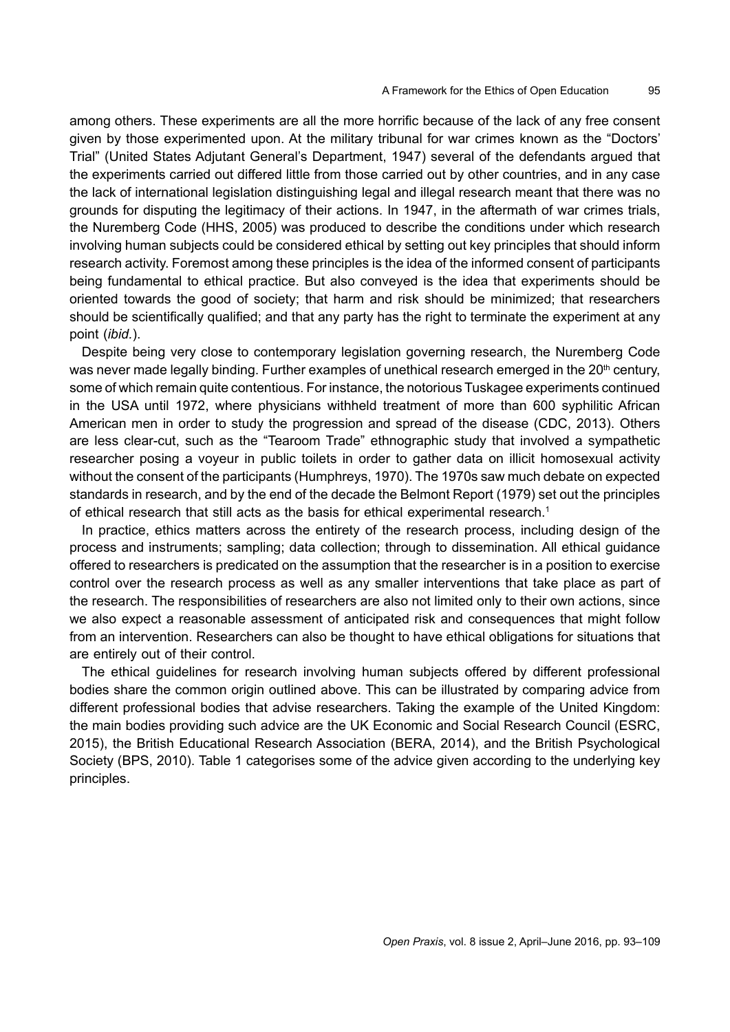among others. These experiments are all the more horrific because of the lack of any free consent given by those experimented upon. At the military tribunal for war crimes known as the "Doctors' Trial" (United States Adjutant General's Department, 1947) several of the defendants argued that the experiments carried out differed little from those carried out by other countries, and in any case the lack of international legislation distinguishing legal and illegal research meant that there was no grounds for disputing the legitimacy of their actions. In 1947, in the aftermath of war crimes trials, the Nuremberg Code (HHS, 2005) was produced to describe the conditions under which research involving human subjects could be considered ethical by setting out key principles that should inform research activity. Foremost among these principles is the idea of the informed consent of participants being fundamental to ethical practice. But also conveyed is the idea that experiments should be oriented towards the good of society; that harm and risk should be minimized; that researchers should be scientifically qualified; and that any party has the right to terminate the experiment at any point (*ibid.*).

Despite being very close to contemporary legislation governing research, the Nuremberg Code was never made legally binding. Further examples of unethical research emerged in the 20<sup>th</sup> century, some of which remain quite contentious. For instance, the notorious Tuskagee experiments continued in the USA until 1972, where physicians withheld treatment of more than 600 syphilitic African American men in order to study the progression and spread of the disease (CDC, 2013). Others are less clear-cut, such as the "Tearoom Trade" ethnographic study that involved a sympathetic researcher posing a voyeur in public toilets in order to gather data on illicit homosexual activity without the consent of the participants (Humphreys, 1970). The 1970s saw much debate on expected standards in research, and by the end of the decade the Belmont Report (1979) set out the principles of ethical research that still acts as the basis for ethical experimental research.<sup>1</sup>

In practice, ethics matters across the entirety of the research process, including design of the process and instruments; sampling; data collection; through to dissemination. All ethical guidance offered to researchers is predicated on the assumption that the researcher is in a position to exercise control over the research process as well as any smaller interventions that take place as part of the research. The responsibilities of researchers are also not limited only to their own actions, since we also expect a reasonable assessment of anticipated risk and consequences that might follow from an intervention. Researchers can also be thought to have ethical obligations for situations that are entirely out of their control.

The ethical guidelines for research involving human subjects offered by different professional bodies share the common origin outlined above. This can be illustrated by comparing advice from different professional bodies that advise researchers. Taking the example of the United Kingdom: the main bodies providing such advice are the UK Economic and Social Research Council (ESRC, 2015), the British Educational Research Association (BERA, 2014), and the British Psychological Society (BPS, 2010). Table 1 categorises some of the advice given according to the underlying key principles.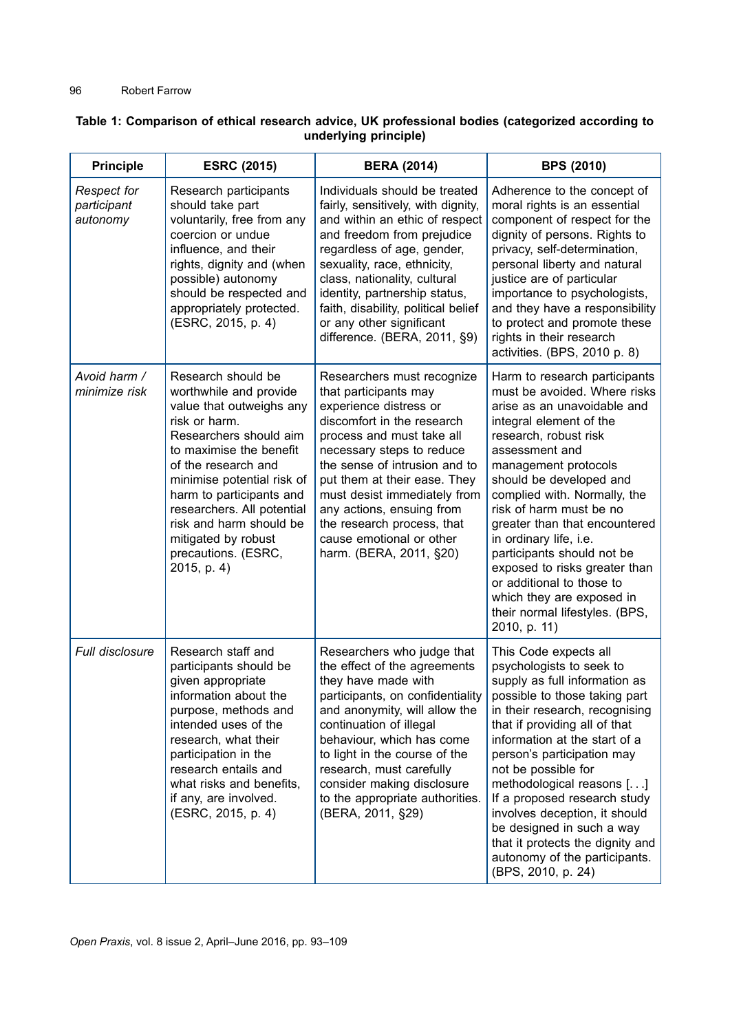| <b>Principle</b>                              | <b>ESRC (2015)</b>                                                                                                                                                                                                                                                                                                                                    | <b>BERA (2014)</b>                                                                                                                                                                                                                                                                                                                                                                       | <b>BPS (2010)</b>                                                                                                                                                                                                                                                                                                                                                                                                                                                                                                      |
|-----------------------------------------------|-------------------------------------------------------------------------------------------------------------------------------------------------------------------------------------------------------------------------------------------------------------------------------------------------------------------------------------------------------|------------------------------------------------------------------------------------------------------------------------------------------------------------------------------------------------------------------------------------------------------------------------------------------------------------------------------------------------------------------------------------------|------------------------------------------------------------------------------------------------------------------------------------------------------------------------------------------------------------------------------------------------------------------------------------------------------------------------------------------------------------------------------------------------------------------------------------------------------------------------------------------------------------------------|
| <b>Respect for</b><br>participant<br>autonomy | Research participants<br>should take part<br>voluntarily, free from any<br>coercion or undue<br>influence, and their<br>rights, dignity and (when<br>possible) autonomy<br>should be respected and<br>appropriately protected.<br>(ESRC, 2015, p. 4)                                                                                                  | Individuals should be treated<br>fairly, sensitively, with dignity,<br>and within an ethic of respect<br>and freedom from prejudice<br>regardless of age, gender,<br>sexuality, race, ethnicity,<br>class, nationality, cultural<br>identity, partnership status,<br>faith, disability, political belief<br>or any other significant<br>difference. (BERA, 2011, §9)                     | Adherence to the concept of<br>moral rights is an essential<br>component of respect for the<br>dignity of persons. Rights to<br>privacy, self-determination,<br>personal liberty and natural<br>justice are of particular<br>importance to psychologists,<br>and they have a responsibility<br>to protect and promote these<br>rights in their research<br>activities. (BPS, 2010 p. 8)                                                                                                                                |
| Avoid harm /<br>minimize risk                 | Research should be<br>worthwhile and provide<br>value that outweighs any<br>risk or harm.<br>Researchers should aim<br>to maximise the benefit<br>of the research and<br>minimise potential risk of<br>harm to participants and<br>researchers. All potential<br>risk and harm should be<br>mitigated by robust<br>precautions. (ESRC,<br>2015, p. 4) | Researchers must recognize<br>that participants may<br>experience distress or<br>discomfort in the research<br>process and must take all<br>necessary steps to reduce<br>the sense of intrusion and to<br>put them at their ease. They<br>must desist immediately from<br>any actions, ensuing from<br>the research process, that<br>cause emotional or other<br>harm. (BERA, 2011, §20) | Harm to research participants<br>must be avoided. Where risks<br>arise as an unavoidable and<br>integral element of the<br>research, robust risk<br>assessment and<br>management protocols<br>should be developed and<br>complied with. Normally, the<br>risk of harm must be no<br>greater than that encountered<br>in ordinary life, i.e.<br>participants should not be<br>exposed to risks greater than<br>or additional to those to<br>which they are exposed in<br>their normal lifestyles. (BPS,<br>2010, p. 11) |
| Full disclosure                               | Research staff and<br>participants should be<br>given appropriate<br>information about the<br>purpose, methods and<br>intended uses of the<br>research, what their<br>participation in the<br>research entails and<br>what risks and benefits,<br>if any, are involved.<br>(ESRC, 2015, p. 4)                                                         | Researchers who judge that<br>the effect of the agreements<br>they have made with<br>participants, on confidentiality<br>and anonymity, will allow the<br>continuation of illegal<br>behaviour, which has come<br>to light in the course of the<br>research, must carefully<br>consider making disclosure<br>to the appropriate authorities.<br>(BERA, 2011, §29)                        | This Code expects all<br>psychologists to seek to<br>supply as full information as<br>possible to those taking part<br>in their research, recognising<br>that if providing all of that<br>information at the start of a<br>person's participation may<br>not be possible for<br>methodological reasons []<br>If a proposed research study<br>involves deception, it should<br>be designed in such a way<br>that it protects the dignity and<br>autonomy of the participants.<br>(BPS, 2010, p. 24)                     |

### **Table 1: Comparison of ethical research advice, UK professional bodies (categorized according to underlying principle)**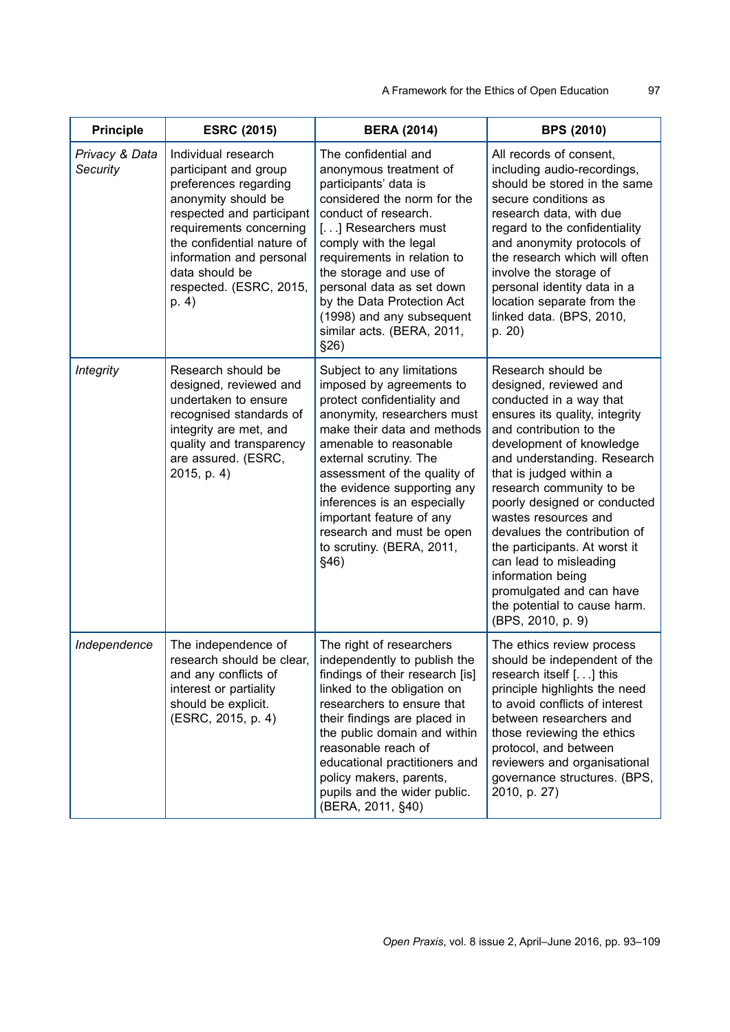| <b>Principle</b>           | <b>ESRC (2015)</b>                                                                                                                                                                                                                                                   | <b>BERA (2014)</b>                                                                                                                                                                                                                                                                                                                                                                                   | <b>BPS (2010)</b>                                                                                                                                                                                                                                                                                                                                                                                                                                                                                               |
|----------------------------|----------------------------------------------------------------------------------------------------------------------------------------------------------------------------------------------------------------------------------------------------------------------|------------------------------------------------------------------------------------------------------------------------------------------------------------------------------------------------------------------------------------------------------------------------------------------------------------------------------------------------------------------------------------------------------|-----------------------------------------------------------------------------------------------------------------------------------------------------------------------------------------------------------------------------------------------------------------------------------------------------------------------------------------------------------------------------------------------------------------------------------------------------------------------------------------------------------------|
| Privacy & Data<br>Security | Individual research<br>participant and group<br>preferences regarding<br>anonymity should be<br>respected and participant<br>requirements concerning<br>the confidential nature of<br>information and personal<br>data should be<br>respected. (ESRC, 2015,<br>p. 4) | The confidential and<br>anonymous treatment of<br>participants' data is<br>considered the norm for the<br>conduct of research.<br>[] Researchers must<br>comply with the legal<br>requirements in relation to<br>the storage and use of<br>personal data as set down<br>by the Data Protection Act<br>(1998) and any subsequent<br>similar acts. (BERA, 2011,<br>\$26)                               | All records of consent,<br>including audio-recordings,<br>should be stored in the same<br>secure conditions as<br>research data, with due<br>regard to the confidentiality<br>and anonymity protocols of<br>the research which will often<br>involve the storage of<br>personal identity data in a<br>location separate from the<br>linked data. (BPS, 2010,<br>p. 20)                                                                                                                                          |
| <b>Integrity</b>           | Research should be<br>designed, reviewed and<br>undertaken to ensure<br>recognised standards of<br>integrity are met, and<br>quality and transparency<br>are assured. (ESRC,<br>2015, p. 4)                                                                          | Subject to any limitations<br>imposed by agreements to<br>protect confidentiality and<br>anonymity, researchers must<br>make their data and methods<br>amenable to reasonable<br>external scrutiny. The<br>assessment of the quality of<br>the evidence supporting any<br>inferences is an especially<br>important feature of any<br>research and must be open<br>to scrutiny. (BERA, 2011,<br>\$46) | Research should be<br>designed, reviewed and<br>conducted in a way that<br>ensures its quality, integrity<br>and contribution to the<br>development of knowledge<br>and understanding. Research<br>that is judged within a<br>research community to be<br>poorly designed or conducted<br>wastes resources and<br>devalues the contribution of<br>the participants. At worst it<br>can lead to misleading<br>information being<br>promulgated and can have<br>the potential to cause harm.<br>(BPS, 2010, p. 9) |
| Independence               | The independence of<br>research should be clear,<br>and any conflicts of<br>interest or partiality<br>should be explicit.<br>(ESRC, 2015, p. 4)                                                                                                                      | The right of researchers<br>independently to publish the<br>findings of their research [is]<br>linked to the obligation on<br>researchers to ensure that<br>their findings are placed in<br>the public domain and within<br>reasonable reach of<br>educational practitioners and<br>policy makers, parents,<br>pupils and the wider public.<br>(BERA, 2011, §40)                                     | The ethics review process<br>should be independent of the<br>research itself [] this<br>principle highlights the need<br>to avoid conflicts of interest<br>between researchers and<br>those reviewing the ethics<br>protocol, and between<br>reviewers and organisational<br>governance structures. (BPS,<br>2010, p. 27)                                                                                                                                                                                       |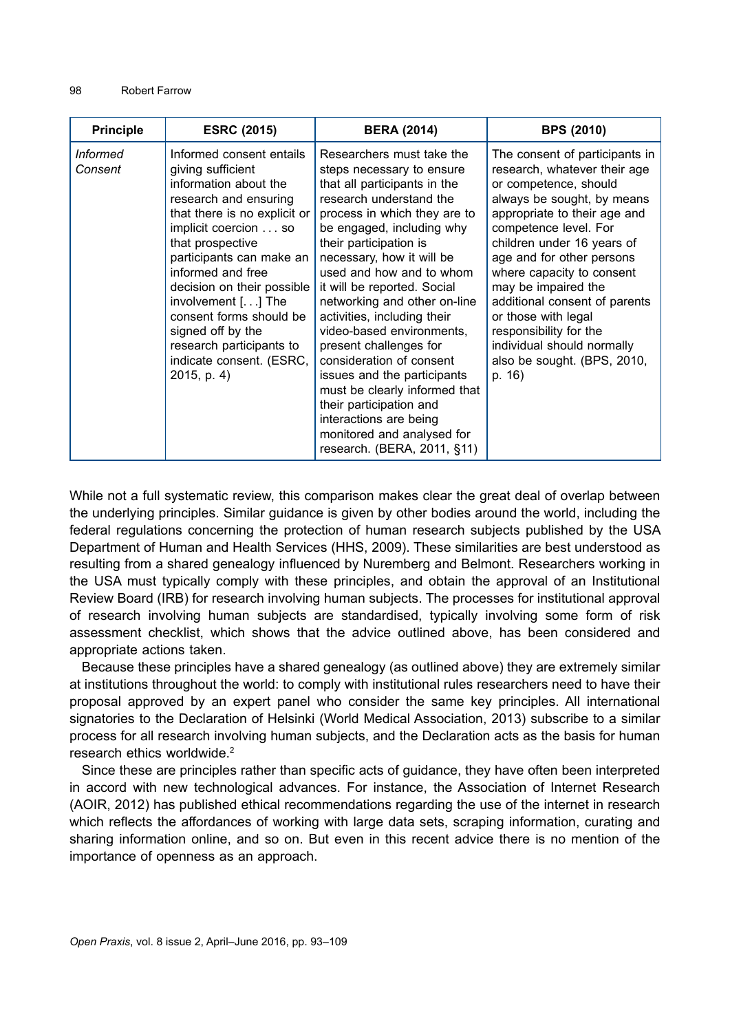| <b>Principle</b>           | <b>ESRC (2015)</b>                                                                                                                                                                                                                                                                                                                                                                                      | <b>BERA (2014)</b>                                                                                                                                                                                                                                                                                                                                                                                                                                                                                                                                                                                                                   | <b>BPS (2010)</b>                                                                                                                                                                                                                                                                                                                                                                                                                                      |
|----------------------------|---------------------------------------------------------------------------------------------------------------------------------------------------------------------------------------------------------------------------------------------------------------------------------------------------------------------------------------------------------------------------------------------------------|--------------------------------------------------------------------------------------------------------------------------------------------------------------------------------------------------------------------------------------------------------------------------------------------------------------------------------------------------------------------------------------------------------------------------------------------------------------------------------------------------------------------------------------------------------------------------------------------------------------------------------------|--------------------------------------------------------------------------------------------------------------------------------------------------------------------------------------------------------------------------------------------------------------------------------------------------------------------------------------------------------------------------------------------------------------------------------------------------------|
| <i>Informed</i><br>Consent | Informed consent entails<br>giving sufficient<br>information about the<br>research and ensuring<br>that there is no explicit or<br>implicit coercion so<br>that prospective<br>participants can make an<br>informed and free<br>decision on their possible<br>involvement [] The<br>consent forms should be<br>signed off by the<br>research participants to<br>indicate consent. (ESRC,<br>2015, p. 4) | Researchers must take the<br>steps necessary to ensure<br>that all participants in the<br>research understand the<br>process in which they are to<br>be engaged, including why<br>their participation is<br>necessary, how it will be<br>used and how and to whom<br>it will be reported. Social<br>networking and other on-line<br>activities, including their<br>video-based environments,<br>present challenges for<br>consideration of consent<br>issues and the participants<br>must be clearly informed that<br>their participation and<br>interactions are being<br>monitored and analysed for<br>research. (BERA, 2011, §11) | The consent of participants in<br>research, whatever their age<br>or competence, should<br>always be sought, by means<br>appropriate to their age and<br>competence level. For<br>children under 16 years of<br>age and for other persons<br>where capacity to consent<br>may be impaired the<br>additional consent of parents<br>or those with legal<br>responsibility for the<br>individual should normally<br>also be sought. (BPS, 2010,<br>p. 16) |

While not a full systematic review, this comparison makes clear the great deal of overlap between the underlying principles. Similar guidance is given by other bodies around the world, including the federal regulations concerning the protection of human research subjects published by the USA Department of Human and Health Services (HHS, 2009). These similarities are best understood as resulting from a shared genealogy influenced by Nuremberg and Belmont. Researchers working in the USA must typically comply with these principles, and obtain the approval of an Institutional Review Board (IRB) for research involving human subjects. The processes for institutional approval of research involving human subjects are standardised, typically involving some form of risk assessment checklist, which shows that the advice outlined above, has been considered and appropriate actions taken.

Because these principles have a shared genealogy (as outlined above) they are extremely similar at institutions throughout the world: to comply with institutional rules researchers need to have their proposal approved by an expert panel who consider the same key principles. All international signatories to the Declaration of Helsinki (World Medical Association, 2013) subscribe to a similar process for all research involving human subjects, and the Declaration acts as the basis for human research ethics worldwide.<sup>2</sup>

Since these are principles rather than specific acts of guidance, they have often been interpreted in accord with new technological advances. For instance, the Association of Internet Research (AOIR, 2012) has published ethical recommendations regarding the use of the internet in research which reflects the affordances of working with large data sets, scraping information, curating and sharing information online, and so on. But even in this recent advice there is no mention of the importance of openness as an approach.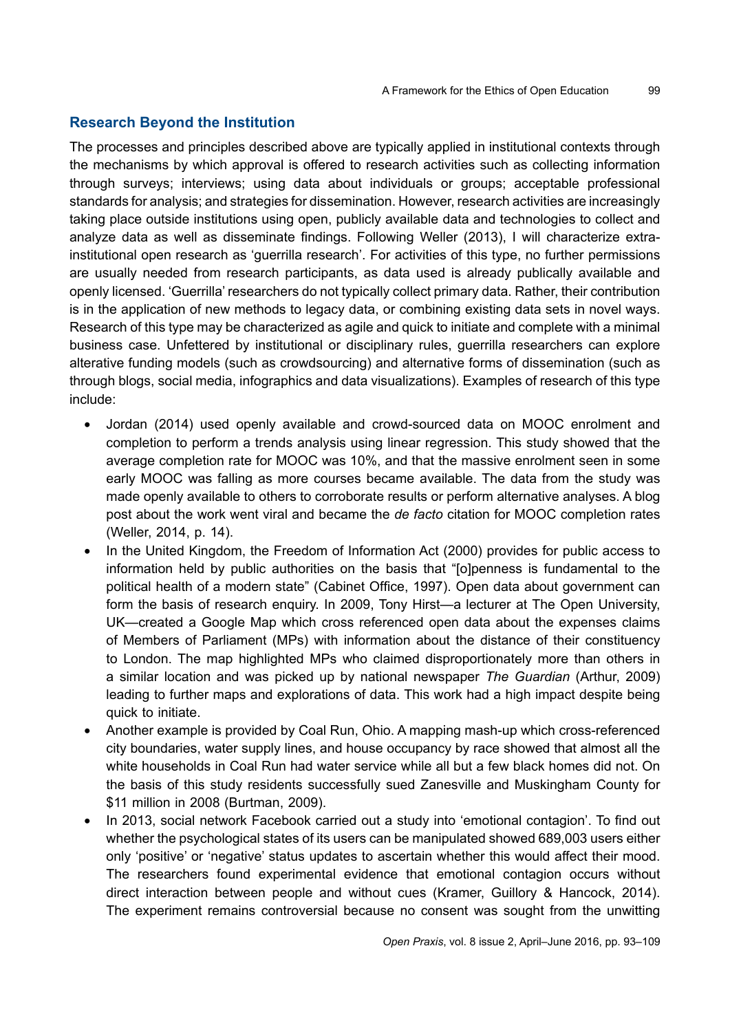### **Research Beyond the Institution**

The processes and principles described above are typically applied in institutional contexts through the mechanisms by which approval is offered to research activities such as collecting information through surveys; interviews; using data about individuals or groups; acceptable professional standards for analysis; and strategies for dissemination. However, research activities are increasingly taking place outside institutions using open, publicly available data and technologies to collect and analyze data as well as disseminate findings. Following Weller (2013), I will characterize extrainstitutional open research as 'guerrilla research'. For activities of this type, no further permissions are usually needed from research participants, as data used is already publically available and openly licensed. 'Guerrilla' researchers do not typically collect primary data. Rather, their contribution is in the application of new methods to legacy data, or combining existing data sets in novel ways. Research of this type may be characterized as agile and quick to initiate and complete with a minimal business case. Unfettered by institutional or disciplinary rules, guerrilla researchers can explore alterative funding models (such as crowdsourcing) and alternative forms of dissemination (such as through blogs, social media, infographics and data visualizations). Examples of research of this type include:

- Jordan (2014) used openly available and crowd-sourced data on MOOC enrolment and completion to perform a trends analysis using linear regression. This study showed that the average completion rate for MOOC was 10%, and that the massive enrolment seen in some early MOOC was falling as more courses became available. The data from the study was made openly available to others to corroborate results or perform alternative analyses. A blog post about the work went viral and became the *de facto* citation for MOOC completion rates (Weller, 2014, p. 14).
- In the United Kingdom, the Freedom of Information Act (2000) provides for public access to information held by public authorities on the basis that "[o]penness is fundamental to the political health of a modern state" (Cabinet Office, 1997). Open data about government can form the basis of research enquiry. In 2009, Tony Hirst—a lecturer at The Open University, UK—created a Google Map which cross referenced open data about the expenses claims of Members of Parliament (MPs) with information about the distance of their constituency to London. The map highlighted MPs who claimed disproportionately more than others in a similar location and was picked up by national newspaper *The Guardian* (Arthur, 2009) leading to further maps and explorations of data. This work had a high impact despite being quick to initiate.
- Another example is provided by Coal Run, Ohio. A mapping mash-up which cross-referenced city boundaries, water supply lines, and house occupancy by race showed that almost all the white households in Coal Run had water service while all but a few black homes did not. On the basis of this study residents successfully sued Zanesville and Muskingham County for \$11 million in 2008 (Burtman, 2009).
- In 2013, social network Facebook carried out a study into 'emotional contagion'. To find out whether the psychological states of its users can be manipulated showed 689,003 users either only 'positive' or 'negative' status updates to ascertain whether this would affect their mood. The researchers found experimental evidence that emotional contagion occurs without direct interaction between people and without cues (Kramer, Guillory & Hancock, 2014). The experiment remains controversial because no consent was sought from the unwitting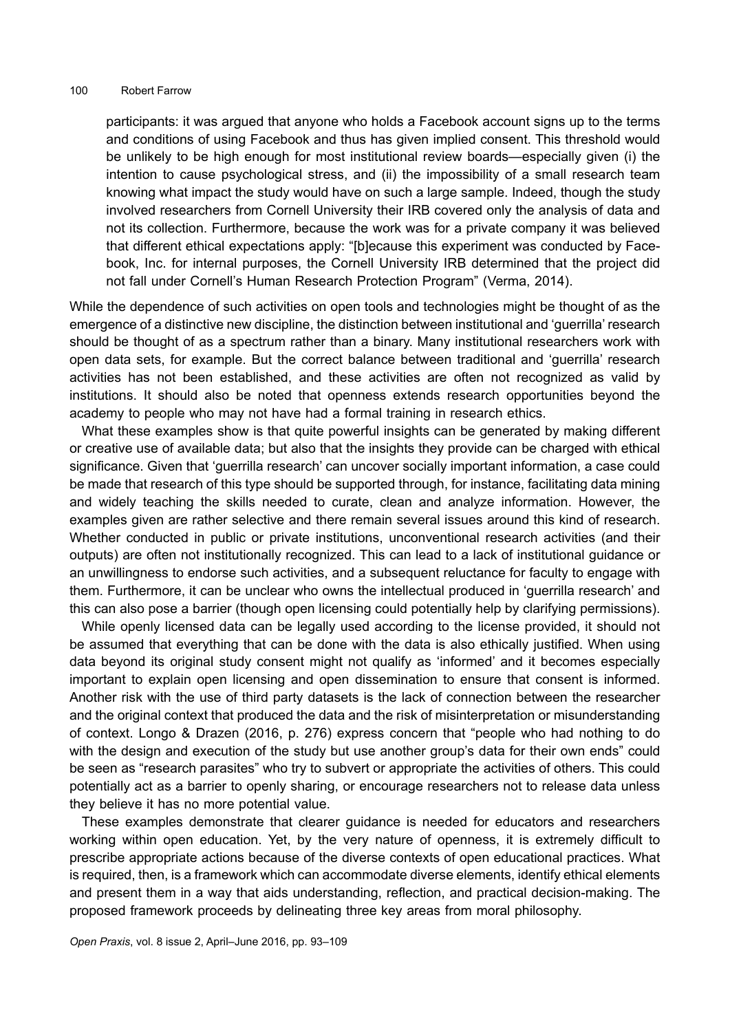participants: it was argued that anyone who holds a Facebook account signs up to the terms and conditions of using Facebook and thus has given implied consent. This threshold would be unlikely to be high enough for most institutional review boards—especially given (i) the intention to cause psychological stress, and (ii) the impossibility of a small research team knowing what impact the study would have on such a large sample. Indeed, though the study involved researchers from Cornell University their IRB covered only the analysis of data and not its collection. Furthermore, because the work was for a private company it was believed that different ethical expectations apply: "[b]ecause this experiment was conducted by Facebook, Inc. for internal purposes, the Cornell University IRB determined that the project did not fall under Cornell's Human Research Protection Program" (Verma, 2014).

While the dependence of such activities on open tools and technologies might be thought of as the emergence of a distinctive new discipline, the distinction between institutional and 'guerrilla' research should be thought of as a spectrum rather than a binary. Many institutional researchers work with open data sets, for example. But the correct balance between traditional and 'guerrilla' research activities has not been established, and these activities are often not recognized as valid by institutions. It should also be noted that openness extends research opportunities beyond the academy to people who may not have had a formal training in research ethics.

What these examples show is that quite powerful insights can be generated by making different or creative use of available data; but also that the insights they provide can be charged with ethical significance. Given that 'guerrilla research' can uncover socially important information, a case could be made that research of this type should be supported through, for instance, facilitating data mining and widely teaching the skills needed to curate, clean and analyze information. However, the examples given are rather selective and there remain several issues around this kind of research. Whether conducted in public or private institutions, unconventional research activities (and their outputs) are often not institutionally recognized. This can lead to a lack of institutional guidance or an unwillingness to endorse such activities, and a subsequent reluctance for faculty to engage with them. Furthermore, it can be unclear who owns the intellectual produced in 'guerrilla research' and this can also pose a barrier (though open licensing could potentially help by clarifying permissions).

While openly licensed data can be legally used according to the license provided, it should not be assumed that everything that can be done with the data is also ethically justified. When using data beyond its original study consent might not qualify as 'informed' and it becomes especially important to explain open licensing and open dissemination to ensure that consent is informed. Another risk with the use of third party datasets is the lack of connection between the researcher and the original context that produced the data and the risk of misinterpretation or misunderstanding of context. Longo & Drazen (2016, p. 276) express concern that "people who had nothing to do with the design and execution of the study but use another group's data for their own ends" could be seen as "research parasites" who try to subvert or appropriate the activities of others. This could potentially act as a barrier to openly sharing, or encourage researchers not to release data unless they believe it has no more potential value.

These examples demonstrate that clearer guidance is needed for educators and researchers working within open education. Yet, by the very nature of openness, it is extremely difficult to prescribe appropriate actions because of the diverse contexts of open educational practices. What is required, then, is a framework which can accommodate diverse elements, identify ethical elements and present them in a way that aids understanding, reflection, and practical decision-making. The proposed framework proceeds by delineating three key areas from moral philosophy.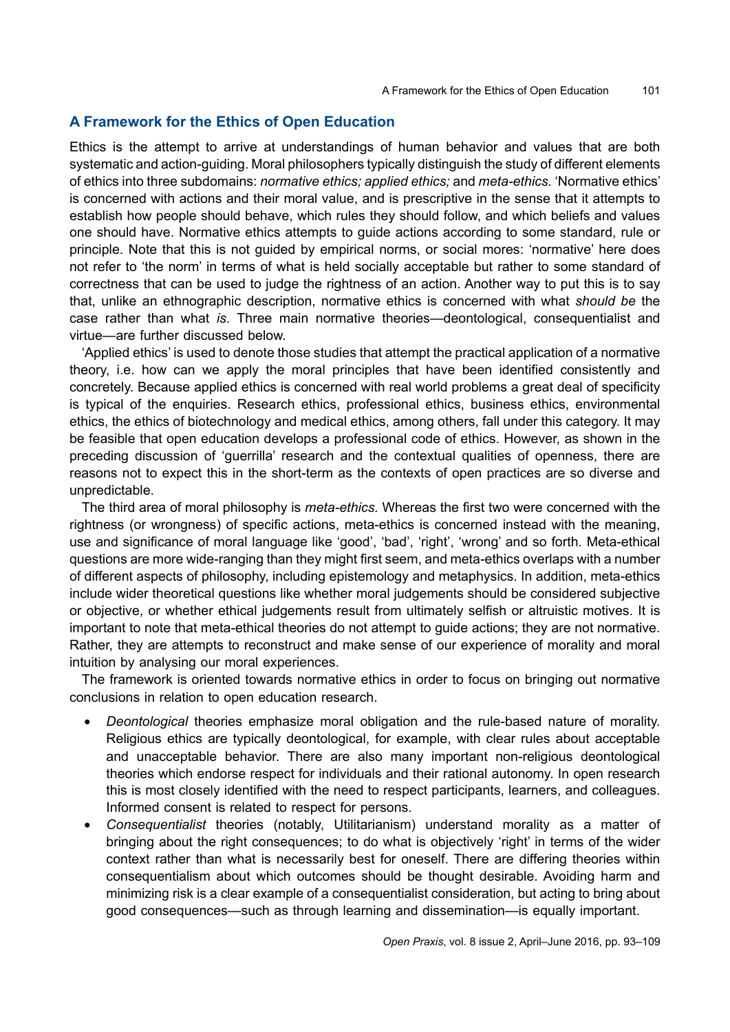### **A Framework for the Ethics of Open Education**

Ethics is the attempt to arrive at understandings of human behavior and values that are both systematic and action-guiding. Moral philosophers typically distinguish the study of different elements of ethics into three subdomains: *normative ethics; applied ethics;* and *meta-ethics.* 'Normative ethics' is concerned with actions and their moral value, and is prescriptive in the sense that it attempts to establish how people should behave, which rules they should follow, and which beliefs and values one should have. Normative ethics attempts to guide actions according to some standard, rule or principle. Note that this is not guided by empirical norms, or social mores: 'normative' here does not refer to 'the norm' in terms of what is held socially acceptable but rather to some standard of correctness that can be used to judge the rightness of an action. Another way to put this is to say that, unlike an ethnographic description, normative ethics is concerned with what *should be* the case rather than what *is*. Three main normative theories—deontological, consequentialist and virtue—are further discussed below.

'Applied ethics' is used to denote those studies that attempt the practical application of a normative theory, i.e. how can we apply the moral principles that have been identified consistently and concretely. Because applied ethics is concerned with real world problems a great deal of specificity is typical of the enquiries. Research ethics, professional ethics, business ethics, environmental ethics, the ethics of biotechnology and medical ethics, among others, fall under this category. It may be feasible that open education develops a professional code of ethics. However, as shown in the preceding discussion of 'guerrilla' research and the contextual qualities of openness, there are reasons not to expect this in the short-term as the contexts of open practices are so diverse and unpredictable.

The third area of moral philosophy is *meta-ethics.* Whereas the first two were concerned with the rightness (or wrongness) of specific actions, meta-ethics is concerned instead with the meaning, use and significance of moral language like 'good', 'bad', 'right', 'wrong' and so forth. Meta-ethical questions are more wide-ranging than they might first seem, and meta-ethics overlaps with a number of different aspects of philosophy, including epistemology and metaphysics. In addition, meta-ethics include wider theoretical questions like whether moral judgements should be considered subjective or objective, or whether ethical judgements result from ultimately selfish or altruistic motives. It is important to note that meta-ethical theories do not attempt to guide actions; they are not normative. Rather, they are attempts to reconstruct and make sense of our experience of morality and moral intuition by analysing our moral experiences.

The framework is oriented towards normative ethics in order to focus on bringing out normative conclusions in relation to open education research.

- *Deontological* theories emphasize moral obligation and the rule-based nature of morality. Religious ethics are typically deontological, for example, with clear rules about acceptable and unacceptable behavior. There are also many important non-religious deontological theories which endorse respect for individuals and their rational autonomy. In open research this is most closely identified with the need to respect participants, learners, and colleagues. Informed consent is related to respect for persons.
- *Consequentialist* theories (notably, Utilitarianism) understand morality as a matter of bringing about the right consequences; to do what is objectively 'right' in terms of the wider context rather than what is necessarily best for oneself. There are differing theories within consequentialism about which outcomes should be thought desirable. Avoiding harm and minimizing risk is a clear example of a consequentialist consideration, but acting to bring about good consequences—such as through learning and dissemination—is equally important.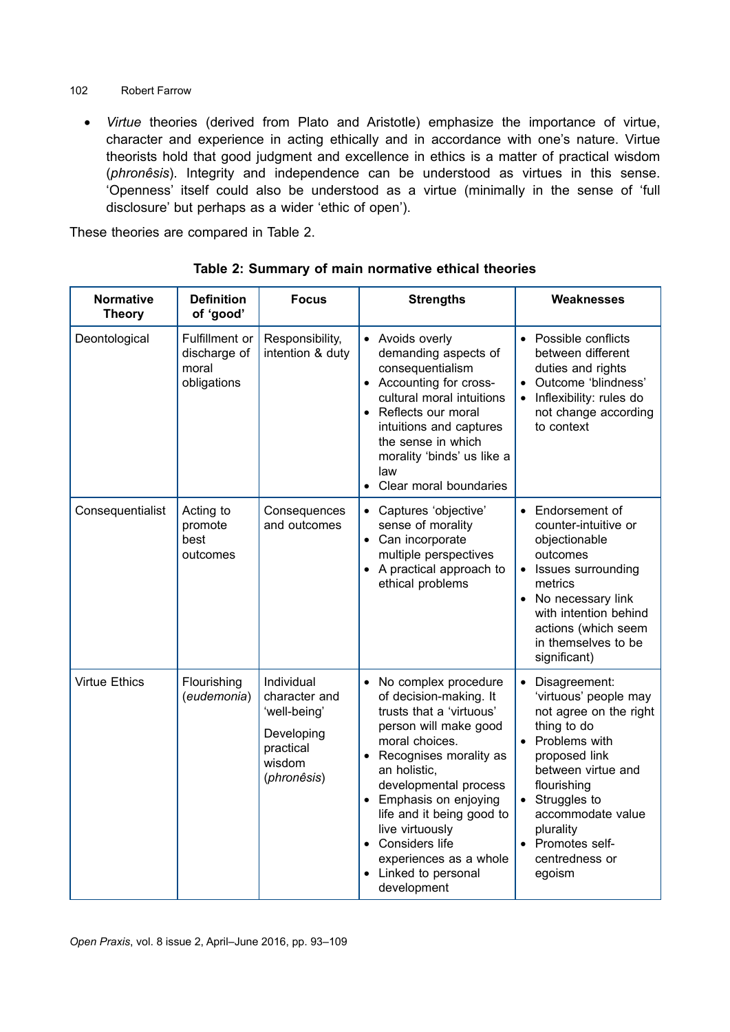- 102 Robert Farrow
	- *Virtue* theories (derived from Plato and Aristotle) emphasize the importance of virtue, character and experience in acting ethically and in accordance with one's nature. Virtue theorists hold that good judgment and excellence in ethics is a matter of practical wisdom (*phronêsis*). Integrity and independence can be understood as virtues in this sense. 'Openness' itself could also be understood as a virtue (minimally in the sense of 'full disclosure' but perhaps as a wider 'ethic of open').

These theories are compared in Table 2.

| <b>Normative</b><br><b>Theory</b> | <b>Definition</b><br>of 'good'                         | <b>Focus</b>                                                                                    | <b>Strengths</b>                                                                                                                                                                                                                                                                                                                                                 | Weaknesses                                                                                                                                                                                                                                                              |
|-----------------------------------|--------------------------------------------------------|-------------------------------------------------------------------------------------------------|------------------------------------------------------------------------------------------------------------------------------------------------------------------------------------------------------------------------------------------------------------------------------------------------------------------------------------------------------------------|-------------------------------------------------------------------------------------------------------------------------------------------------------------------------------------------------------------------------------------------------------------------------|
| Deontological                     | Fulfillment or<br>discharge of<br>moral<br>obligations | Responsibility,<br>intention & duty                                                             | • Avoids overly<br>demanding aspects of<br>consequentialism<br>Accounting for cross-<br>cultural moral intuitions<br>• Reflects our moral<br>intuitions and captures<br>the sense in which<br>morality 'binds' us like a<br>law<br>Clear moral boundaries<br>$\bullet$                                                                                           | • Possible conflicts<br>between different<br>duties and rights<br>Outcome 'blindness'<br>Inflexibility: rules do<br>not change according<br>to context                                                                                                                  |
| Consequentialist                  | Acting to<br>promote<br>best<br>outcomes               | Consequences<br>and outcomes                                                                    | Captures 'objective'<br>sense of morality<br>• Can incorporate<br>multiple perspectives<br>• A practical approach to<br>ethical problems                                                                                                                                                                                                                         | Endorsement of<br>$\bullet$<br>counter-intuitive or<br>objectionable<br>outcomes<br>Issues surrounding<br>$\bullet$<br>metrics<br>• No necessary link<br>with intention behind<br>actions (which seem<br>in themselves to be<br>significant)                            |
| <b>Virtue Ethics</b>              | Flourishing<br>(eudemonia)                             | Individual<br>character and<br>'well-being'<br>Developing<br>practical<br>wisdom<br>(phronêsis) | No complex procedure<br>$\bullet$<br>of decision-making. It<br>trusts that a 'virtuous'<br>person will make good<br>moral choices.<br>Recognises morality as<br>an holistic,<br>developmental process<br>Emphasis on enjoying<br>life and it being good to<br>live virtuously<br>• Considers life<br>experiences as a whole<br>Linked to personal<br>development | Disagreement:<br>$\bullet$<br>'virtuous' people may<br>not agree on the right<br>thing to do<br>• Problems with<br>proposed link<br>between virtue and<br>flourishing<br>Struggles to<br>accommodate value<br>plurality<br>• Promotes self-<br>centredness or<br>egoism |

**Table 2: Summary of main normative ethical theories**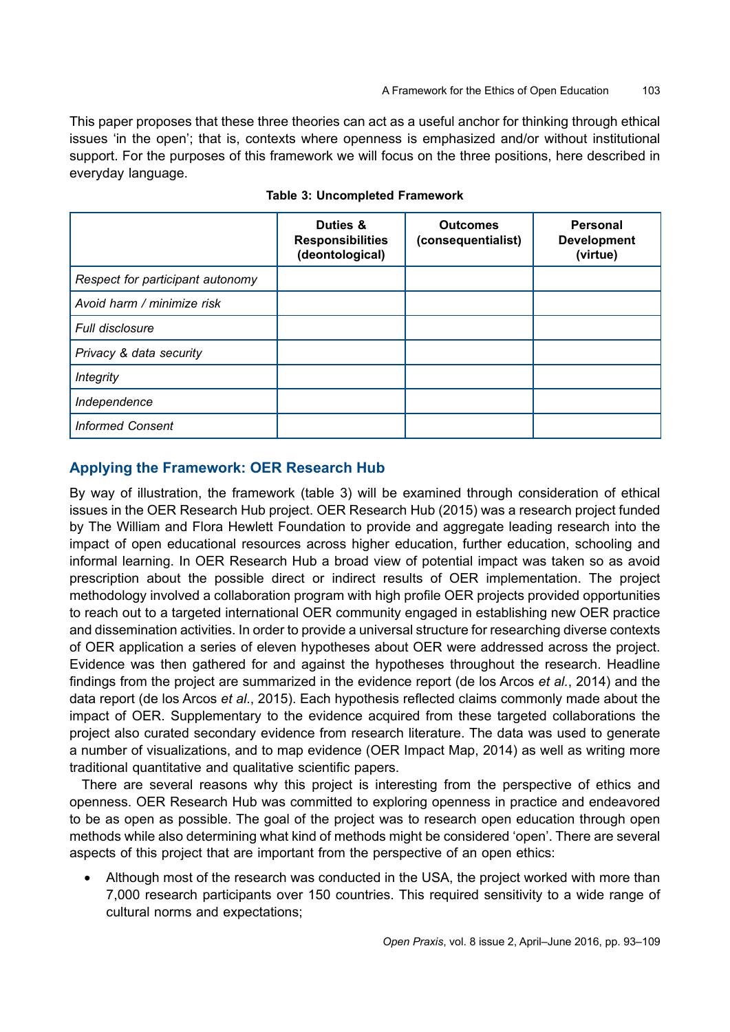This paper proposes that these three theories can act as a useful anchor for thinking through ethical issues 'in the open'; that is, contexts where openness is emphasized and/or without institutional support. For the purposes of this framework we will focus on the three positions, here described in everyday language.

|                                  | Duties &<br><b>Responsibilities</b><br>(deontological) | <b>Outcomes</b><br>(consequentialist) | <b>Personal</b><br><b>Development</b><br>(virtue) |
|----------------------------------|--------------------------------------------------------|---------------------------------------|---------------------------------------------------|
| Respect for participant autonomy |                                                        |                                       |                                                   |
| Avoid harm / minimize risk       |                                                        |                                       |                                                   |
| <b>Full disclosure</b>           |                                                        |                                       |                                                   |
| Privacy & data security          |                                                        |                                       |                                                   |
| <b>Integrity</b>                 |                                                        |                                       |                                                   |
| Independence                     |                                                        |                                       |                                                   |
| <b>Informed Consent</b>          |                                                        |                                       |                                                   |

**Table 3: Uncompleted Framework** 

### **Applying the Framework: OER Research Hub**

By way of illustration, the framework (table 3) will be examined through consideration of ethical issues in the OER Research Hub project. OER Research Hub (2015) was a research project funded by The William and Flora Hewlett Foundation to provide and aggregate leading research into the impact of open educational resources across higher education, further education, schooling and informal learning. In OER Research Hub a broad view of potential impact was taken so as avoid prescription about the possible direct or indirect results of OER implementation. The project methodology involved a collaboration program with high profile OER projects provided opportunities to reach out to a targeted international OER community engaged in establishing new OER practice and dissemination activities. In order to provide a universal structure for researching diverse contexts of OER application a series of eleven hypotheses about OER were addressed across the project. Evidence was then gathered for and against the hypotheses throughout the research. Headline findings from the project are summarized in the evidence report (de los Arcos *et al.*, 2014) and the data report (de los Arcos *et al*., 2015). Each hypothesis reflected claims commonly made about the impact of OER. Supplementary to the evidence acquired from these targeted collaborations the project also curated secondary evidence from research literature. The data was used to generate a number of visualizations, and to map evidence (OER Impact Map, 2014) as well as writing more traditional quantitative and qualitative scientific papers.

There are several reasons why this project is interesting from the perspective of ethics and openness. OER Research Hub was committed to exploring openness in practice and endeavored to be as open as possible. The goal of the project was to research open education through open methods while also determining what kind of methods might be considered 'open'. There are several aspects of this project that are important from the perspective of an open ethics:

• Although most of the research was conducted in the USA, the project worked with more than 7,000 research participants over 150 countries. This required sensitivity to a wide range of cultural norms and expectations;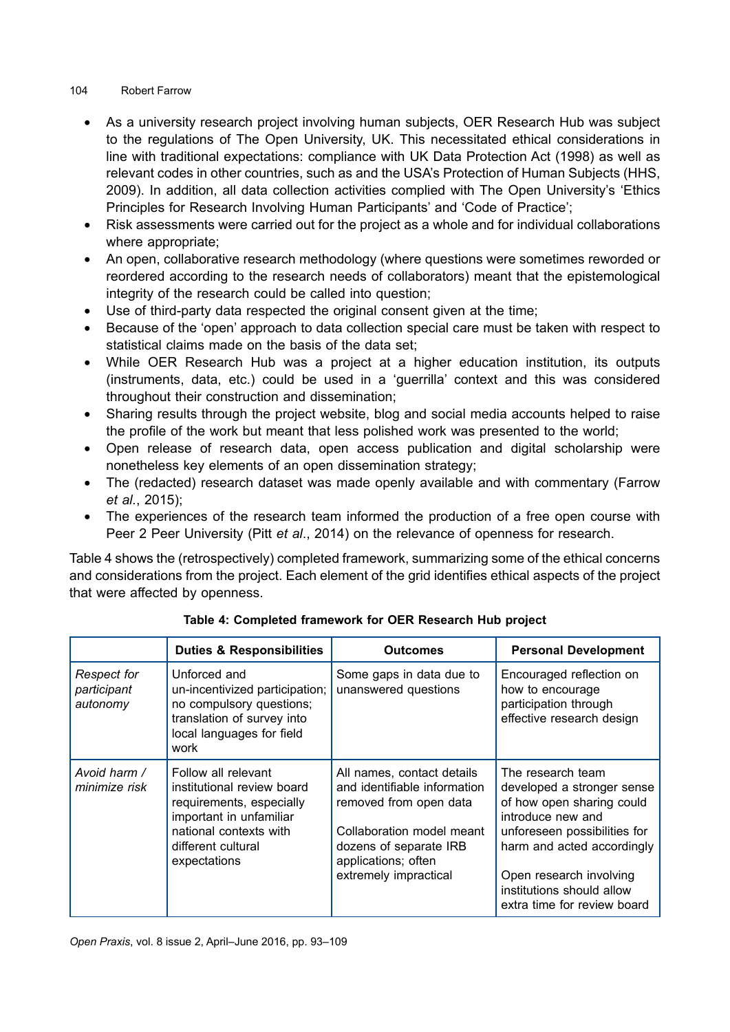- As a university research project involving human subjects, OER Research Hub was subject to the regulations of The Open University, UK. This necessitated ethical considerations in line with traditional expectations: compliance with UK Data Protection Act (1998) as well as relevant codes in other countries, such as and the USA's Protection of Human Subjects (HHS, 2009). In addition, all data collection activities complied with The Open University's 'Ethics Principles for Research Involving Human Participants' and 'Code of Practice';
- Risk assessments were carried out for the project as a whole and for individual collaborations where appropriate;
- An open, collaborative research methodology (where questions were sometimes reworded or reordered according to the research needs of collaborators) meant that the epistemological integrity of the research could be called into question;
- Use of third-party data respected the original consent given at the time;
- Because of the 'open' approach to data collection special care must be taken with respect to statistical claims made on the basis of the data set;
- While OER Research Hub was a project at a higher education institution, its outputs (instruments, data, etc.) could be used in a 'guerrilla' context and this was considered throughout their construction and dissemination;
- Sharing results through the project website, blog and social media accounts helped to raise the profile of the work but meant that less polished work was presented to the world;
- Open release of research data, open access publication and digital scholarship were nonetheless key elements of an open dissemination strategy;
- The (redacted) research dataset was made openly available and with commentary (Farrow *et al.*, 2015);
- The experiences of the research team informed the production of a free open course with Peer 2 Peer University (Pitt *et al*., 2014) on the relevance of openness for research.

Table 4 shows the (retrospectively) completed framework, summarizing some of the ethical concerns and considerations from the project. Each element of the grid identifies ethical aspects of the project that were affected by openness.

|                                        | <b>Duties &amp; Responsibilities</b>                                                                                                                                     | <b>Outcomes</b>                                                                                                                                                                             | <b>Personal Development</b>                                                                                                                                                                                                                            |
|----------------------------------------|--------------------------------------------------------------------------------------------------------------------------------------------------------------------------|---------------------------------------------------------------------------------------------------------------------------------------------------------------------------------------------|--------------------------------------------------------------------------------------------------------------------------------------------------------------------------------------------------------------------------------------------------------|
| Respect for<br>participant<br>autonomy | Unforced and<br>un-incentivized participation;<br>no compulsory questions;<br>translation of survey into<br>local languages for field<br>work                            | Some gaps in data due to<br>unanswered questions                                                                                                                                            | Encouraged reflection on<br>how to encourage<br>participation through<br>effective research design                                                                                                                                                     |
| Avoid harm /<br>minimize risk          | Follow all relevant<br>institutional review board<br>requirements, especially<br>important in unfamiliar<br>national contexts with<br>different cultural<br>expectations | All names, contact details<br>and identifiable information<br>removed from open data<br>Collaboration model meant<br>dozens of separate IRB<br>applications; often<br>extremely impractical | The research team<br>developed a stronger sense<br>of how open sharing could<br>introduce new and<br>unforeseen possibilities for<br>harm and acted accordingly<br>Open research involving<br>institutions should allow<br>extra time for review board |

**Table 4: Completed framework for OER Research Hub project**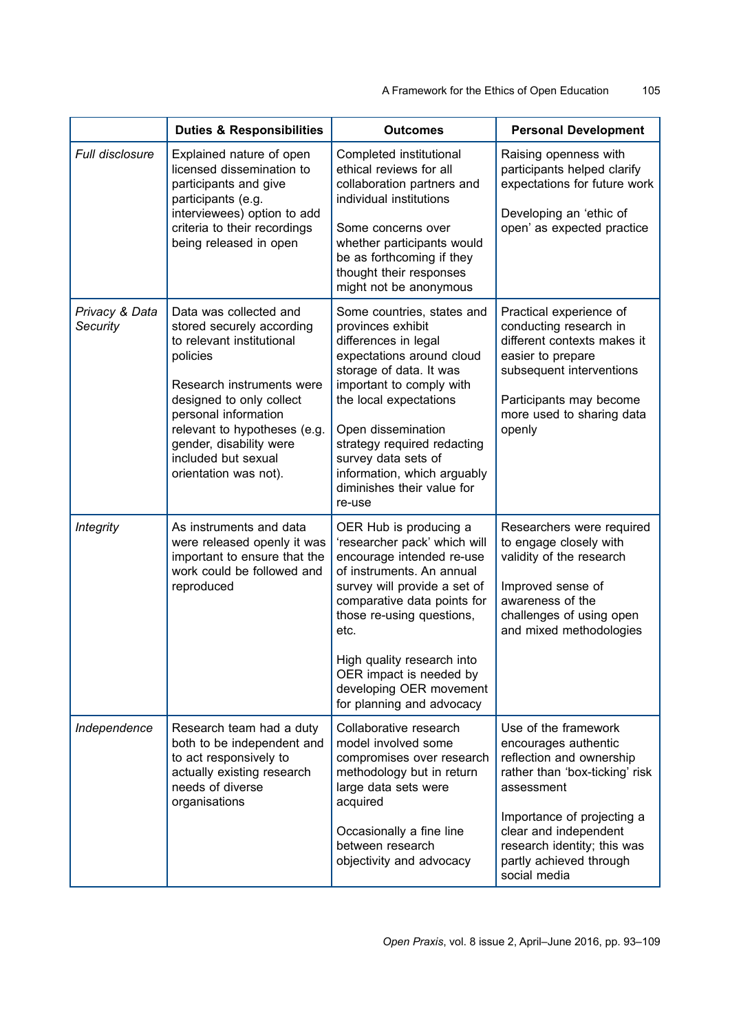|                            | <b>Duties &amp; Responsibilities</b>                                                                                                                                                                                                                                                     | <b>Outcomes</b>                                                                                                                                                                                                                                                                                                                          | <b>Personal Development</b>                                                                                                                                                                                                                               |
|----------------------------|------------------------------------------------------------------------------------------------------------------------------------------------------------------------------------------------------------------------------------------------------------------------------------------|------------------------------------------------------------------------------------------------------------------------------------------------------------------------------------------------------------------------------------------------------------------------------------------------------------------------------------------|-----------------------------------------------------------------------------------------------------------------------------------------------------------------------------------------------------------------------------------------------------------|
| <b>Full disclosure</b>     | Explained nature of open<br>licensed dissemination to<br>participants and give<br>participants (e.g.<br>interviewees) option to add<br>criteria to their recordings<br>being released in open                                                                                            | Completed institutional<br>ethical reviews for all<br>collaboration partners and<br>individual institutions<br>Some concerns over<br>whether participants would<br>be as forthcoming if they<br>thought their responses<br>might not be anonymous                                                                                        | Raising openness with<br>participants helped clarify<br>expectations for future work<br>Developing an 'ethic of<br>open' as expected practice                                                                                                             |
| Privacy & Data<br>Security | Data was collected and<br>stored securely according<br>to relevant institutional<br>policies<br>Research instruments were<br>designed to only collect<br>personal information<br>relevant to hypotheses (e.g.<br>gender, disability were<br>included but sexual<br>orientation was not). | Some countries, states and<br>provinces exhibit<br>differences in legal<br>expectations around cloud<br>storage of data. It was<br>important to comply with<br>the local expectations<br>Open dissemination<br>strategy required redacting<br>survey data sets of<br>information, which arguably<br>diminishes their value for<br>re-use | Practical experience of<br>conducting research in<br>different contexts makes it<br>easier to prepare<br>subsequent interventions<br>Participants may become<br>more used to sharing data<br>openly                                                       |
| <b>Integrity</b>           | As instruments and data<br>were released openly it was<br>important to ensure that the<br>work could be followed and<br>reproduced                                                                                                                                                       | OER Hub is producing a<br>'researcher pack' which will<br>encourage intended re-use<br>of instruments. An annual<br>survey will provide a set of<br>comparative data points for<br>those re-using questions,<br>etc.<br>High quality research into<br>OER impact is needed by<br>developing OER movement<br>for planning and advocacy    | Researchers were required<br>to engage closely with<br>validity of the research<br>Improved sense of<br>awareness of the<br>challenges of using open<br>and mixed methodologies                                                                           |
| Independence               | Research team had a duty<br>both to be independent and<br>to act responsively to<br>actually existing research<br>needs of diverse<br>organisations                                                                                                                                      | Collaborative research<br>model involved some<br>compromises over research<br>methodology but in return<br>large data sets were<br>acquired<br>Occasionally a fine line<br>between research<br>objectivity and advocacy                                                                                                                  | Use of the framework<br>encourages authentic<br>reflection and ownership<br>rather than 'box-ticking' risk<br>assessment<br>Importance of projecting a<br>clear and independent<br>research identity; this was<br>partly achieved through<br>social media |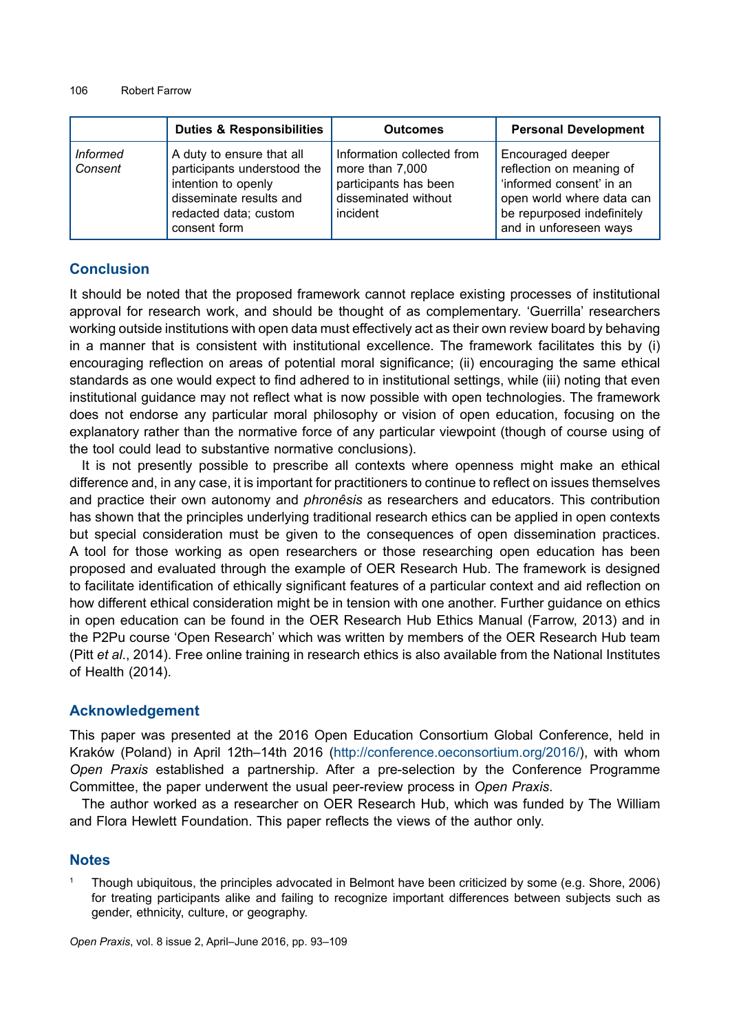|                            | <b>Duties &amp; Responsibilities</b>                                                                                                                | <b>Outcomes</b>                                                                                            | <b>Personal Development</b>                                                                                                                                    |
|----------------------------|-----------------------------------------------------------------------------------------------------------------------------------------------------|------------------------------------------------------------------------------------------------------------|----------------------------------------------------------------------------------------------------------------------------------------------------------------|
| <b>Informed</b><br>Consent | A duty to ensure that all<br>participants understood the<br>intention to openly<br>disseminate results and<br>redacted data; custom<br>consent form | Information collected from<br>more than 7,000<br>participants has been<br>disseminated without<br>incident | Encouraged deeper<br>reflection on meaning of<br>'informed consent' in an<br>open world where data can<br>be repurposed indefinitely<br>and in unforeseen ways |

### **Conclusion**

It should be noted that the proposed framework cannot replace existing processes of institutional approval for research work, and should be thought of as complementary. 'Guerrilla' researchers working outside institutions with open data must effectively act as their own review board by behaving in a manner that is consistent with institutional excellence. The framework facilitates this by (i) encouraging reflection on areas of potential moral significance; (ii) encouraging the same ethical standards as one would expect to find adhered to in institutional settings, while (iii) noting that even institutional guidance may not reflect what is now possible with open technologies. The framework does not endorse any particular moral philosophy or vision of open education, focusing on the explanatory rather than the normative force of any particular viewpoint (though of course using of the tool could lead to substantive normative conclusions).

It is not presently possible to prescribe all contexts where openness might make an ethical difference and, in any case, it is important for practitioners to continue to reflect on issues themselves and practice their own autonomy and *phronêsis* as researchers and educators. This contribution has shown that the principles underlying traditional research ethics can be applied in open contexts but special consideration must be given to the consequences of open dissemination practices. A tool for those working as open researchers or those researching open education has been proposed and evaluated through the example of OER Research Hub. The framework is designed to facilitate identification of ethically significant features of a particular context and aid reflection on how different ethical consideration might be in tension with one another. Further guidance on ethics in open education can be found in the OER Research Hub Ethics Manual (Farrow, 2013) and in the P2Pu course 'Open Research' which was written by members of the OER Research Hub team (Pitt *et al*., 2014). Free online training in research ethics is also available from the National Institutes of Health (2014).

### **Acknowledgement**

This paper was presented at the 2016 Open Education Consortium Global Conference, held in Kraków (Poland) in April 12th–14th 2016 [\(http://conference.oeconsortium.org/2016/\)](http://conference.oeconsortium.org/2016/), with whom *Open Praxis* established a partnership. After a pre-selection by the Conference Programme Committee, the paper underwent the usual peer-review process in *Open Praxis*.

The author worked as a researcher on OER Research Hub, which was funded by The William and Flora Hewlett Foundation. This paper reflects the views of the author only.

### **Notes**

<sup>1</sup> Though ubiquitous, the principles advocated in Belmont have been criticized by some (e.g. Shore, 2006) for treating participants alike and failing to recognize important differences between subjects such as gender, ethnicity, culture, or geography.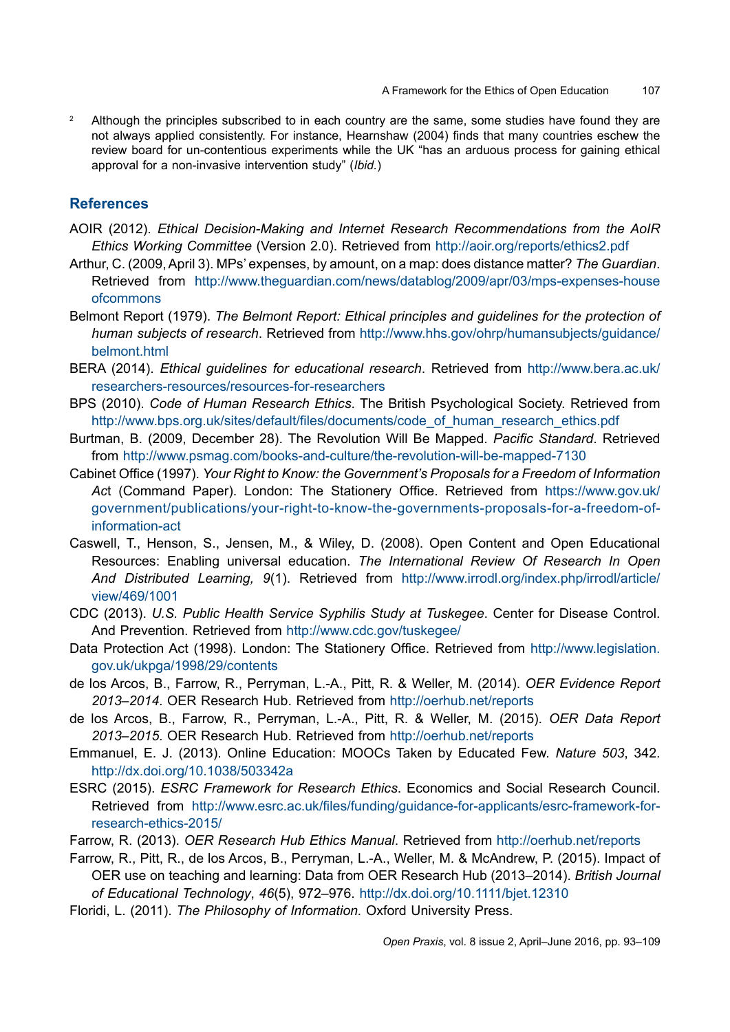<sup>2</sup> Although the principles subscribed to in each country are the same, some studies have found they are not always applied consistently. For instance, Hearnshaw (2004) finds that many countries eschew the review board for un-contentious experiments while the UK "has an arduous process for gaining ethical approval for a non-invasive intervention study" (*Ibid.*)

### **References**

- AOIR (2012). *Ethical Decision-Making and Internet Research Recommendations from the AoIR Ethics Working Committee* (Version 2.0). Retrieved from <http://aoir.org/reports/ethics2.pdf>
- Arthur, C. (2009, April 3). MPs' expenses, by amount, on a map: does distance matter? *The Guardian*. Retrieved from [http://www.theguardian.com/news/datablog/2009/apr/03/mps-expenses-house](http://www.theguardian.com/news/datablog/2009/apr/03/mps-expenses-houseofcommons) [ofcommons](http://www.theguardian.com/news/datablog/2009/apr/03/mps-expenses-houseofcommons)
- Belmont Report (1979). *The Belmont Report: Ethical principles and guidelines for the protection of human subjects of research*. Retrieved from [http://www.hhs.gov/ohrp/humansubjects/guidance/](http://www.hhs.gov/ohrp/humansubjects/guidance/belmont.html) [belmont.html](http://www.hhs.gov/ohrp/humansubjects/guidance/belmont.html)
- BERA (2014). *Ethical guidelines for educational research*. Retrieved from [http://www.bera.ac.uk/](http://www.bera.ac.uk/researchers-resources/resources-for-researchers) [researchers-resources/resources-for-researchers](http://www.bera.ac.uk/researchers-resources/resources-for-researchers)
- BPS (2010). *Code of Human Research Ethics*. The British Psychological Society. Retrieved from [http://www.bps.org.uk/sites/default/files/documents/code\\_of\\_human\\_research\\_ethics.pdf](http://www.bps.org.uk/sites/default/files/documents/code_of_human_research_ethics.pdf)
- Burtman, B. (2009, December 28). The Revolution Will Be Mapped. *Pacific Standard*. Retrieved from <http://www.psmag.com/books-and-culture/the-revolution-will-be-mapped-7130>
- Cabinet Office (1997). *Your Right to Know: the Government's Proposals for a Freedom of Information*  Act (Command Paper). London: The Stationery Office. Retrieved from [https://www.gov.uk/](https://www.gov.uk/government/publications/your-right-to-know-the-governments-proposals-for-a-freedom-of-information-act) [government/publications/your-right-to-know-the-governments-proposals-for-a-freedom-of](https://www.gov.uk/government/publications/your-right-to-know-the-governments-proposals-for-a-freedom-of-information-act)[information-act](https://www.gov.uk/government/publications/your-right-to-know-the-governments-proposals-for-a-freedom-of-information-act)
- Caswell, T., Henson, S., Jensen, M., & Wiley, D. (2008). Open Content and Open Educational Resources: Enabling universal education. *The International Review Of Research In Open And Distributed Learning, 9*(1). Retrieved from [http://www.irrodl.org/index.php/irrodl/article/](http://www.irrodl.org/index.php/irrodl/article/view/469/1001) [view/469/1001](http://www.irrodl.org/index.php/irrodl/article/view/469/1001)
- CDC (2013). *U.S. Public Health Service Syphilis Study at Tuskegee*. Center for Disease Control. And Prevention. Retrieved from <http://www.cdc.gov/tuskegee/>
- Data Protection Act (1998). London: The Stationery Office. Retrieved from [http://www.legislation.](http://www.legislation.gov.uk/ukpga/1998/29/contents) [gov.uk/ukpga/1998/29/contents](http://www.legislation.gov.uk/ukpga/1998/29/contents)
- de los Arcos, B., Farrow, R., Perryman, L.-A., Pitt, R. & Weller, M. (2014). *OER Evidence Report 2013*–*2014*. OER Research Hub. Retrieved from <http://oerhub.net/reports>
- de los Arcos, B., Farrow, R., Perryman, L.-A., Pitt, R. & Weller, M. (2015). *OER Data Report 2013*–*2015*. OER Research Hub. Retrieved from <http://oerhub.net/reports>
- Emmanuel, E. J. (2013). Online Education: MOOCs Taken by Educated Few. *Nature 503*, 342. <http://dx.doi.org/10.1038/503342a>
- ESRC (2015). *ESRC Framework for Research Ethics*. Economics and Social Research Council. Retrieved from [http://www.esrc.ac.uk/files/funding/guidance-for-applicants/esrc-framework-for](http://www.esrc.ac.uk/files/funding/guidance-for-applicants/esrc-framework-for-research-ethics-2015/)[research-ethics-2015/](http://www.esrc.ac.uk/files/funding/guidance-for-applicants/esrc-framework-for-research-ethics-2015/)
- Farrow, R. (2013). *OER Research Hub Ethics Manual*. Retrieved from <http://oerhub.net/reports>
- Farrow, R., Pitt, R., de los Arcos, B., Perryman, L.-A., Weller, M. & McAndrew, P. (2015). Impact of OER use on teaching and learning: Data from OER Research Hub (2013–2014). *British Journal of Educational Technology*, *46*(5), 972–976. <http://dx.doi.org/10.1111/bjet.12310>
- Floridi, L. (2011). *The Philosophy of Information.* Oxford University Press.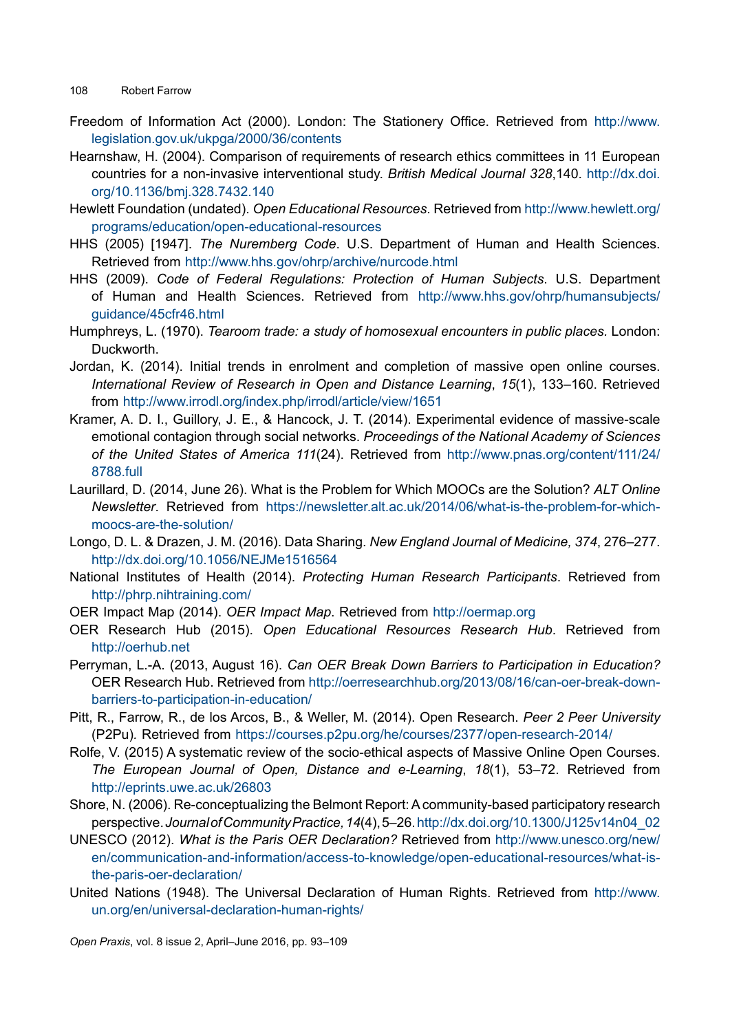- Freedom of Information Act (2000). London: The Stationery Office. Retrieved from [http://www.](http://www.legislation.gov.uk/ukpga/2000/36/contents) [legislation.gov.uk/ukpga/2000/36/contents](http://www.legislation.gov.uk/ukpga/2000/36/contents)
- Hearnshaw, H. (2004). Comparison of requirements of research ethics committees in 11 European countries for a non-invasive interventional study. *British Medical Journal 328*,140. [http://dx.doi.](http://dx.doi.org/10.1136/bmj.328.7432.140) [org/10.1136/bmj.328.7432.140](http://dx.doi.org/10.1136/bmj.328.7432.140)
- Hewlett Foundation (undated). *Open Educational Resources*. Retrieved from [http://www.hewlett.org/](http://www.hewlett.org/programs/education/open-educational-resources) [programs/education/open-educational-resources](http://www.hewlett.org/programs/education/open-educational-resources)
- HHS (2005) [1947]. *The Nuremberg Code*. U.S. Department of Human and Health Sciences. Retrieved from <http://www.hhs.gov/ohrp/archive/nurcode.html>
- HHS (2009). *Code of Federal Regulations: Protection of Human Subjects*. U.S. Department of Human and Health Sciences. Retrieved from [http://www.hhs.gov/ohrp/humansubjects/](http://www.hhs.gov/ohrp/humansubjects/guidance/45cfr46.html) [guidance/45cfr46.html](http://www.hhs.gov/ohrp/humansubjects/guidance/45cfr46.html)
- Humphreys, L. (1970). *Tearoom trade: a study of homosexual encounters in public places.* London: Duckworth.
- Jordan, K. (2014). Initial trends in enrolment and completion of massive open online courses. *International Review of Research in Open and Distance Learning*, *15*(1), 133–160. Retrieved from <http://www.irrodl.org/index.php/irrodl/article/view/1651>
- Kramer, A. D. I., Guillory, J. E., & Hancock, J. T. (2014). Experimental evidence of massive-scale emotional contagion through social networks. *Proceedings of the National Academy of Sciences of the United States of America 111*(24). Retrieved from [http://www.pnas.org/content/111/24/](http://www.pnas.org/content/111/24/8788.full) [8788.full](http://www.pnas.org/content/111/24/8788.full)
- Laurillard, D. (2014, June 26). What is the Problem for Which MOOCs are the Solution? *ALT Online Newsletter*. Retrieved from [https://newsletter.alt.ac.uk/2014/06/what-is-the-problem-for-which](https://newsletter.alt.ac.uk/2014/06/what-is-the-problem-for-which-moocs-are-the-solution/)[moocs-are-the-solution/](https://newsletter.alt.ac.uk/2014/06/what-is-the-problem-for-which-moocs-are-the-solution/)
- Longo, D. L. & Drazen, J. M. (2016). Data Sharing. *New England Journal of Medicine, 374*, 276–277. http://dx.doi.org/[10.1056/NEJMe1516564](http://dx.doi.org/10.1056/NEJMe1516564)
- National Institutes of Health (2014). *Protecting Human Research Participants*. Retrieved from <http://phrp.nihtraining.com/>
- OER Impact Map (2014). *OER Impact Map*. Retrieved from [http://oermap.org](http://oermap.org/)
- OER Research Hub (2015). *Open Educational Resources Research Hub*. Retrieved from <http://oerhub.net>
- Perryman, L.-A. (2013, August 16). *Can OER Break Down Barriers to Participation in Education?* OER Research Hub. Retrieved from http://oerresearchhub.org/2013/08/16/can-oer-break-downbarriers-to-participation-in-education/
- Pitt, R., Farrow, R., de los Arcos, B., & Weller, M. (2014). Open Research. *Peer 2 Peer University*  (P2Pu)*.* Retrieved from <https://courses.p2pu.org/he/courses/2377/open-research-2014/>
- Rolfe, V. (2015) A systematic review of the socio-ethical aspects of Massive Online Open Courses. *The European Journal of Open, Distance and e-Learning*, *18*(1), 53–72. Retrieved from <http://eprints.uwe.ac.uk/26803>
- Shore, N. (2006). Re-conceptualizing the Belmont Report: A community-based participatory research perspective. *Journal of Community Practice, 14*(4), 5–26. [http://dx.doi.org/10.1300/J125v14n04\\_02](http://dx.doi.org/10.1300/J125v14n04_02)
- UNESCO (2012). *What is the Paris OER Declaration?* Retrieved from [http://www.unesco.org/new/](http://www.unesco.org/new/en/communication-and-information/access-to-knowledge/open-educational-resources/what-is-the-paris-oer-declaration/) [en/communication-and-information/access-to-knowledge/open-educational-resources/what-is](http://www.unesco.org/new/en/communication-and-information/access-to-knowledge/open-educational-resources/what-is-the-paris-oer-declaration/)[the-paris-oer-declaration/](http://www.unesco.org/new/en/communication-and-information/access-to-knowledge/open-educational-resources/what-is-the-paris-oer-declaration/)
- United Nations (1948). The Universal Declaration of Human Rights. Retrieved from [http://www.](http://www.un.org/en/universal-declaration-human-rights/) [un.org/en/universal-declaration-human-rights/](http://www.un.org/en/universal-declaration-human-rights/)

*Open Praxis*, vol. 8 issue 2, April–June 2016, pp. 93–109